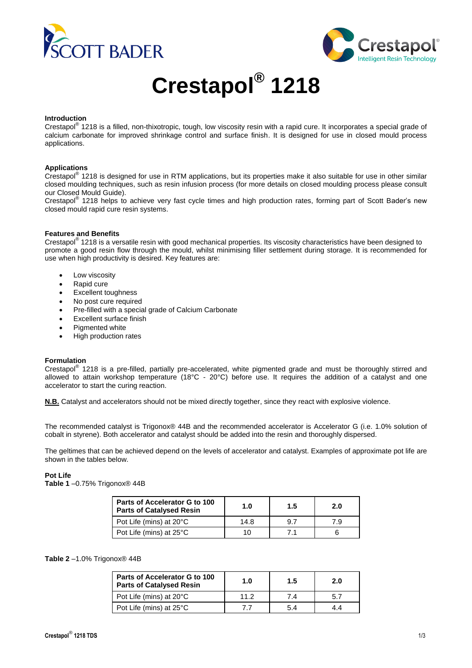



# **Crestapol® 1218**

#### **Introduction**

Crestapol<sup>®</sup> 1218 is a filled, non-thixotropic, tough, low viscosity resin with a rapid cure. It incorporates a special grade of calcium carbonate for improved shrinkage control and surface finish. It is designed for use in closed mould process applications.

#### **Applications**

Crestapol<sup>®</sup> 1218 is designed for use in RTM applications, but its properties make it also suitable for use in other similar closed moulding techniques, such as resin infusion process (for more details on closed moulding process please consult our Closed Mould Guide).

Crestapol<sup>®</sup> 1218 helps to achieve very fast cycle times and high production rates, forming part of Scott Bader's new closed mould rapid cure resin systems.

#### **Features and Benefits**

Crestapol<sup>®</sup> 1218 is a versatile resin with good mechanical properties. Its viscosity characteristics have been designed to promote a good resin flow through the mould, whilst minimising filler settlement during storage. It is recommended for use when high productivity is desired. Key features are:

- Low viscosity
- Rapid cure
- Excellent toughness
- No post cure required
- Pre-filled with a special grade of Calcium Carbonate
- Excellent surface finish
- Piamented white
- High production rates

#### **Formulation**

Crestapol<sup>®</sup> 1218 is a pre-filled, partially pre-accelerated, white pigmented grade and must be thoroughly stirred and allowed to attain workshop temperature (18°C - 20°C) before use. It requires the addition of a catalyst and one accelerator to start the curing reaction.

**N.B.** Catalyst and accelerators should not be mixed directly together, since they react with explosive violence.

The recommended catalyst is Trigonox® 44B and the recommended accelerator is Accelerator G (i.e. 1.0% solution of cobalt in styrene). Both accelerator and catalyst should be added into the resin and thoroughly dispersed.

The geltimes that can be achieved depend on the levels of accelerator and catalyst. Examples of approximate pot life are shown in the tables below.

#### **Pot Life**

**Table 1** –0.75% Trigonox® 44B

| Parts of Accelerator G to 100<br><b>Parts of Catalysed Resin</b> | 1.0  | 1.5 | 2.0 |
|------------------------------------------------------------------|------|-----|-----|
| Pot Life (mins) at 20°C                                          | 14.8 | 9.7 | 7.9 |
| Pot Life (mins) at 25°C                                          |      |     |     |

#### **Table 2** –1.0% Trigonox® 44B

| Parts of Accelerator G to 100<br><b>Parts of Catalysed Resin</b> | 1.0  | 1.5 | 2.0 |
|------------------------------------------------------------------|------|-----|-----|
| Pot Life (mins) at 20°C                                          | 11.2 | 7.4 | 5.7 |
| Pot Life (mins) at 25°C                                          |      | 5.4 | 4.4 |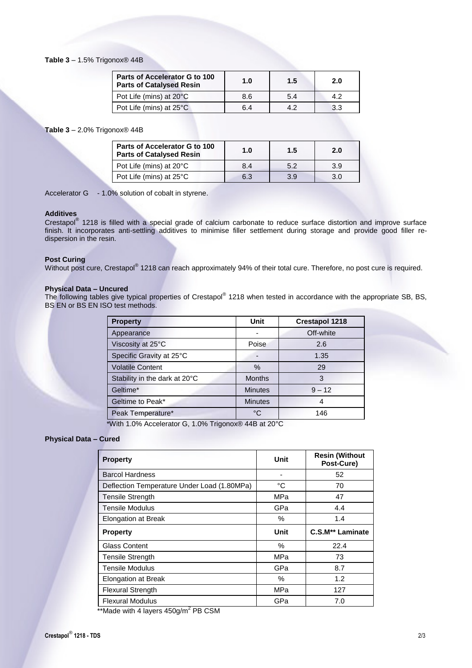# **Table 3** – 1.5% Trigonox® 44B

| 1.0 | 1.5 | 2.0 |
|-----|-----|-----|
| 8.6 | 5.4 | 4.2 |
| 6.4 | 42  | 3.3 |
|     |     |     |

# **Table 3** – 2.0% Trigonox® 44B

| Parts of Accelerator G to 100<br><b>Parts of Catalysed Resin</b> | 1.0 | 1.5 | 2.0 |
|------------------------------------------------------------------|-----|-----|-----|
| Pot Life (mins) at 20°C                                          | 8.4 | 5.2 | 3.9 |
| Pot Life (mins) at 25°C                                          | 6.3 | 3.9 | 3.0 |

Accelerator G - 1.0% solution of cobalt in styrene.

#### **Additives**

Crestapol<sup>®</sup> 1218 is filled with a special grade of calcium carbonate to reduce surface distortion and improve surface finish. It incorporates anti-settling additives to minimise filler settlement during storage and provide good filler redispersion in the resin.

# **Post Curing**

Without post cure, Crestapol® 1218 can reach approximately 94% of their total cure. Therefore, no post cure is required.

# **Physical Data – Uncured**

The following tables give typical properties of Crestapol® 1218 when tested in accordance with the appropriate SB, BS, BS EN or BS EN ISO test methods.

| <b>Property</b>               | Unit           | <b>Crestapol 1218</b> |
|-------------------------------|----------------|-----------------------|
| Appearance                    |                | Off-white             |
| Viscosity at 25°C             | Poise          | 2.6                   |
| Specific Gravity at 25°C      |                | 1.35                  |
| <b>Volatile Content</b>       | $\%$           | 29                    |
| Stability in the dark at 20°C | <b>Months</b>  | 3                     |
| Geltime*                      | <b>Minutes</b> | $9 - 12$              |
| Geltime to Peak*              | <b>Minutes</b> | 4                     |
| Peak Temperature*             | °C             | 146                   |

\*With 1.0% Accelerator G, 1.0% Trigonox® 44B at 20°C

# **Physical Data – Cured**

| <b>Property</b>                             | Unit | <b>Resin (Without</b><br>Post-Cure) |
|---------------------------------------------|------|-------------------------------------|
| <b>Barcol Hardness</b>                      | ٠    | 52                                  |
| Deflection Temperature Under Load (1.80MPa) | °C   | 70                                  |
| <b>Tensile Strength</b>                     | MPa  | 47                                  |
| <b>Tensile Modulus</b>                      | GPa  | 4.4                                 |
| Elongation at Break                         | %    | 1.4                                 |
| <b>Property</b>                             | Unit | C.S.M** Laminate                    |
| <b>Glass Content</b>                        | $\%$ | 22.4                                |
| <b>Tensile Strength</b>                     | MPa  | 73                                  |
| <b>Tensile Modulus</b>                      | GPa  | 8.7                                 |
| Elongation at Break                         | %    | 1.2                                 |
| <b>Flexural Strength</b>                    | MPa  | 127                                 |
| <b>Flexural Modulus</b>                     | GPa  | 7.0                                 |

\*\*Made with 4 layers 450g/m<sup>2</sup> PB CSM